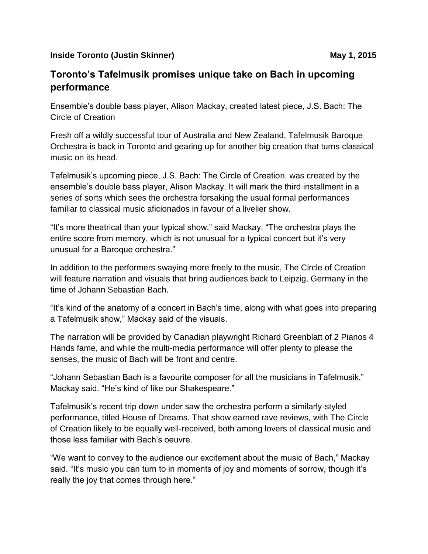## **Inside Toronto (Justin Skinner)** May 1, 2015

## **Toronto's Tafelmusik promises unique take on Bach in upcoming performance**

Ensemble's double bass player, Alison Mackay, created latest piece, J.S. Bach: The Circle of Creation

Fresh off a wildly successful tour of Australia and New Zealand, Tafelmusik Baroque Orchestra is back in Toronto and gearing up for another big creation that turns classical music on its head.

Tafelmusik's upcoming piece, J.S. Bach: The Circle of Creation, was created by the ensemble's double bass player, Alison Mackay. It will mark the third installment in a series of sorts which sees the orchestra forsaking the usual formal performances familiar to classical music aficionados in favour of a livelier show.

"It's more theatrical than your typical show," said Mackay. "The orchestra plays the entire score from memory, which is not unusual for a typical concert but it's very unusual for a Baroque orchestra."

In addition to the performers swaying more freely to the music, The Circle of Creation will feature narration and visuals that bring audiences back to Leipzig, Germany in the time of Johann Sebastian Bach.

"It's kind of the anatomy of a concert in Bach's time, along with what goes into preparing a Tafelmusik show," Mackay said of the visuals.

The narration will be provided by Canadian playwright Richard Greenblatt of 2 Pianos 4 Hands fame, and while the multi-media performance will offer plenty to please the senses, the music of Bach will be front and centre.

"Johann Sebastian Bach is a favourite composer for all the musicians in Tafelmusik," Mackay said. "He's kind of like our Shakespeare."

Tafelmusik's recent trip down under saw the orchestra perform a similarly-styled performance, titled House of Dreams. That show earned rave reviews, with The Circle of Creation likely to be equally well-received, both among lovers of classical music and those less familiar with Bach's oeuvre.

"We want to convey to the audience our excitement about the music of Bach," Mackay said. "It's music you can turn to in moments of joy and moments of sorrow, though it's really the joy that comes through here."